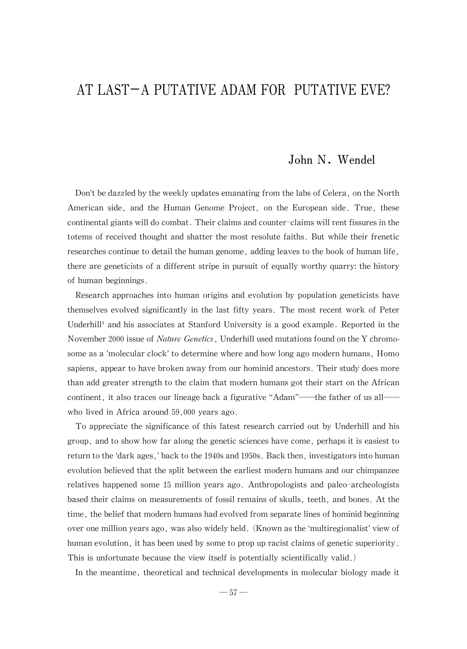## AT LAST-A PUTATIVE ADAM FOR PUTATIVE EVE?

## John N. Wendel

Don't be dazzled by the weekly updates emanating from the labs of Celera, on the North American side, and the Human Genome Project, on the European side. True, these continental giants will do combat. Their claims and counter-claims will rent fissures in the totems of received thought and shatter the most resolute faiths. But while their frenetic researches continue to detail the human genome, adding leaves to the book of human life, there are geneticists of a different stripe in pursuit of equally worthy quarry: the history of human beginnings.

Research approaches into human origins and evolution by population geneticists have themselves evolved significantly in the last fifty years. The most recent work of Peter Underhill<sup>1</sup> and his associates at Stanford University is a good example. Reported in the November 2000 issue of *Nature Genetics*, Underhill used mutations found on the Y chromosome as a 'molecular clock' to determine where and how long ago modern humans, Homo sapiens, appear to have broken away from our hominid ancestors. Their study does more than add greater strength to the claim that modern humans got their start on the African continent, it also traces our lineage back a figurative "Adam"—the father of us all who lived in Africa around 59,000 years ago.

To appreciate the significance of this latest research carried out by Underhill and his group, and to show how far along the genetic sciences have come, perhaps it is easiest to return to the 'dark ages,' back to the 1940s and 1950s. Back then, investigators into human evolution believed that the split between the earliest modern humans and our chimpanzee relatives happened some 15million years ago. Anthropologists and paleo-archeologists based their claims on measurements of fossil remains of skulls, teeth, and bones. At the time, the belief that modern humans had evolved from separate lines of hominid beginning over onemillion yearsago,wasalsowidelyheld.(Known astheʻmultiregionalist'viewof human evolution, it has been used by some to prop up racist claims of genetic superiority. This is unfortunate because the view itself is potentially scientifically valid.)

In the meantime, theoretical and technical developments in molecular biology made it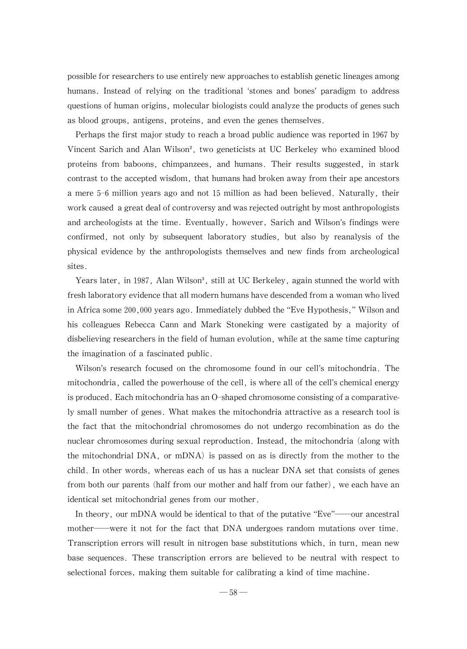possible for researchers to use entirely new approaches to establish genetic lineages among humans. Instead of relying on the traditional 'stones and bones' paradigm to address questions of human origins, molecular biologists could analyze the products of genes such as blood groups, antigens, proteins, and even the genes themselves.

Perhaps the first major study to reach a broad public audience was reported in 1967 by Vincent Sarich and Alan Wilson<sup>2</sup>, two geneticists at UC Berkeley who examined blood proteins from baboons, chimpanzees, and humans. Their results suggested, in stark contrast to the accepted wisdom, that humans had broken away from their ape ancestors a mere 5-6 million years ago and not 15 million as had been believed. Naturally, their work caused a great deal of controversy and was rejected outright by most anthropologists and archeologists at the time. Eventually, however, Sarich and Wilson's findings were confirmed, not only by subsequent laboratory studies, but also by reanalysis of the physical evidence by the anthropologists themselves and new finds from archeological sites.

Years later, in 1987, Alan Wilson<sup>3</sup>, still at UC Berkeley, again stunned the world with fresh laboratory evidence that all modern humans have descended from a woman who lived in Africa some 200,000 years ago. Immediately dubbed the "Eve Hypothesis," Wilson and his colleagues Rebecca Cann and Mark Stoneking were castigated by a majority of disbelieving researchers in the field of human evolution, while at the same time capturing the imagination of a fascinated public.

Wilson's research focused on the chromosome found in our cell's mitochondria. The mitochondria, called the powerhouse of the cell, is where all of the cell's chemical energy is produced. Each mitochondria has an O-shaped chromosome consisting of a comparatively small number of genes.What makes the mitochondria attractive as a research tool is the fact that the mitochondrial chromosomes do not undergo recombination as do the nuclear chromosomes during sexual reproduction. Instead, the mitochondria (along with the mitochondrial DNA, or mDNA) is passed on as is directly from the mother to the child. In other words, whereas each of us has a nuclear DNA set that consists of genes from both our parents (half from our mother and half from our father), we each have an identical set mitochondrial genes from our mother.

In theory, our mDNA would be identical to that of the putative "Eve"—our ancestral mother—were it not for the fact that DNA undergoes random mutations over time. Transcription errors will result in nitrogen base substitutions which, in turn, mean new base sequences. These transcription errors are believed to be neutral with respect to selectional forces, making them suitable for calibrating a kind of time machine.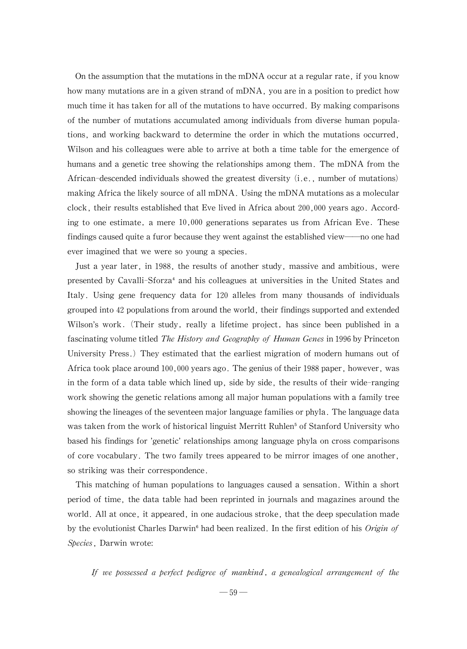On the assumption that the mutations in the mDNA occur at a regular rate, if you know how many mutations are in a given strand of mDNA, you are in a position to predict how much time it has taken for all of the mutations to have occurred. By making comparisons of the number of mutations accumulated among individuals from diverse human populations, and working backward to determine the order in which the mutations occurred, Wilson and his colleagues were able to arrive at both a time table for the emergence of humans and a genetic tree showing the relationships among them. The mDNA from the African-descended individuals showed the greatest diversity  $(i.e., number of mutations)$ making Africa the likely source of all mDNA. Using the mDNA mutations as a molecular clock, their results established that Eve lived in Africa about  $200,000$  years ago. According to one estimate, a mere 10,000 generations separates us from African Eve. These findings caused quite a furor because they went against the established view—no one had ever imagined that we were so young a species.

Just a year later, in 1988, the results of another study, massive and ambitious, were presented by Cavalli-Sforza<sup>4</sup> and his colleagues at universities in the United States and Italy. Using gene frequency data for 120 alleles from many thousands of individuals grouped into 42 populations from around the world, their findings supported and extended Wilson's work. (Their study, really a lifetime project, has since been published in a fascinating volume titled *The History and Geography of Human Genes* in 1996 by Princeton University Press.) They estimated that the earliest migration of modern humans out of Africa took place around 100,000 years ago. The genius of their 1988 paper, however, was in the form of a data table which lined up, side by side, the results of their wide-ranging work showing the genetic relations among all major human populations with a family tree showing the lineages of the seventeen major language families or phyla. The language data was taken from the work of historical linguist Merritt Ruhlen<sup>5</sup> of Stanford University who based his findings for 'genetic'relationships among language phyla on cross comparisons of core vocabulary.The two family trees appeared to be mirror images of one another, so striking was their correspondence.

This matching of human populations to languages caused a sensation. Within a short period of time, the data table had been reprinted in journals and magazines around the world. All at once, it appeared, in one audacious stroke, that the deep speculation made by the evolutionist Charles Darwin<sup>6</sup> had been realized. In the first edition of his *Origin of* Species, Darwin wrote:

If we possessed a perfect pedigree of mankind, a genealogical arrangement of the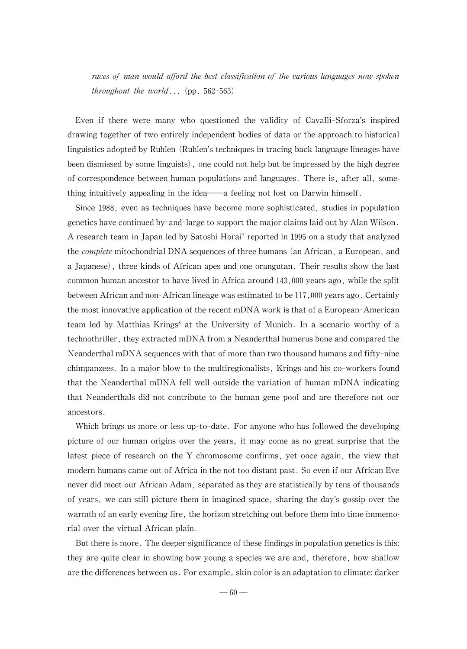races of man would afford the best classification of the various languages now spoken throughout the world... (pp.  $562-563$ )

Even if there were many who questioned the validity of Cavalli-Sforza's inspired drawing together of two entirely independent bodies of data or the approach to historical linguistics adopted by Ruhlen (Ruhlen's techniques in tracing back language lineages have been dismissed by some linguists), one could not help but be impressed by the high degree of correspondence between human populations and languages. There is, after all, something intuitively appealing in the idea-a feeling not lost on Darwin himself.

Since 1988, even as techniques have become more sophisticated, studies in population geneticshavecontinuedby-and-largetosupport themajorclaimslaidout byAlanWilson. A research team in Japan led by Satoshi Horai<sup>7</sup> reported in 1995 on a study that analyzed the *complete* mitochondrial DNA sequences of three humans (an African, a European, and a Japanese), three kinds of African apes and one orangutan. Their results show the last common human ancestor to have lived in Africa around  $143,000$  years ago, while the split between African and non-African lineage was estimated to be 117,000 years ago. Certainly the most innovative application of the recent mDNA work is that of a European-American team led by Matthias Krings<sup>8</sup> at the University of Munich. In a scenario worthy of a technothriller, they extracted mDNA from a Neanderthal humerus bone and compared the Neanderthal mDNA sequences with that of more than two thousand humans and fifty-nine chimpanzees. In a major blow to the multiregionalists, Krings and his co-workers found that the Neanderthal mDNA fell well outside the variation of human mDNA indicating that Neanderthals did not contribute to the human gene pool and are therefore not our ancestors.

Which brings us more or less up-to-date. For anyone who has followed the developing picture of our human origins over the years,it may come as no great surprise that the latest piece of research on the Y chromosome confirms, yet once again, the view that modern humans came out of Africa in the not too distant past. So even if our African Eve never did meet our African Adam, separated as they are statistically by tens of thousands of years, we can still picture them in imagined space, sharing the day's gossip over the warmth of an early evening fire, the horizon stretching out before them into time immemorial over the virtual African plain.

But there is more. The deeper significance of these findings in population genetics is this: they are quite clear in showing how young a species we are and, therefore, how shallow are the differences between us. For example, skin color is an adaptation to climate: darker